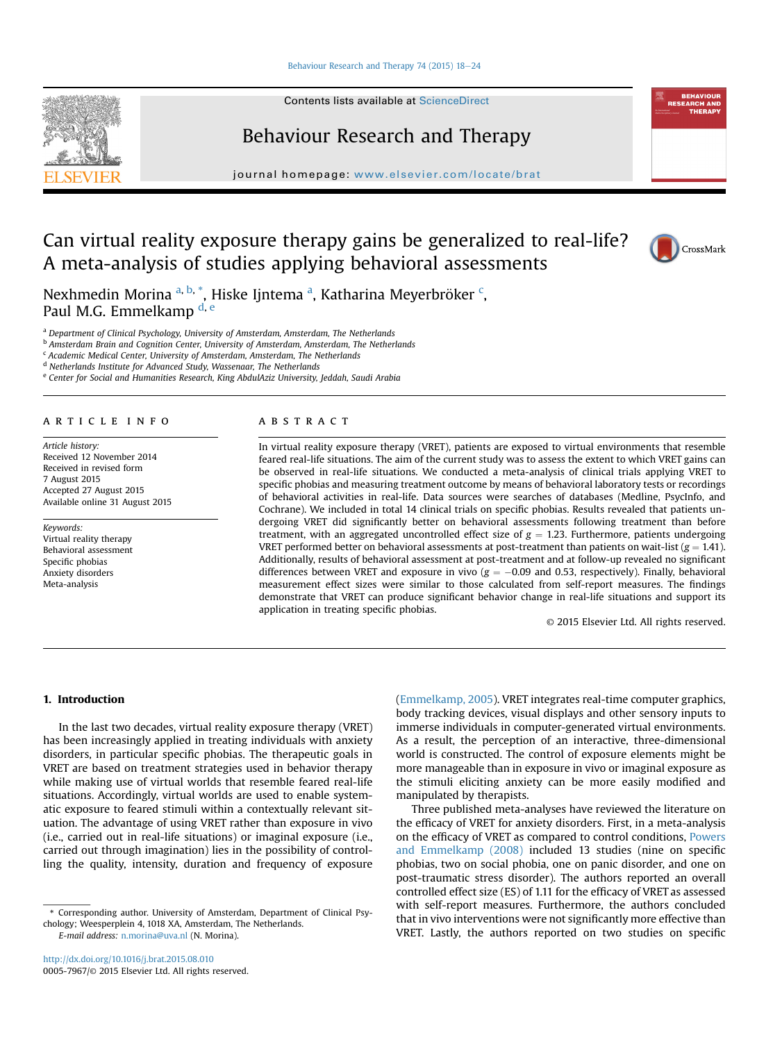#### [Behaviour Research and Therapy 74 \(2015\) 18](http://dx.doi.org/10.1016/j.brat.2015.08.010)-[24](http://dx.doi.org/10.1016/j.brat.2015.08.010)

Contents lists available at ScienceDirect

# Behaviour Research and Therapy

journal homepage: [www.elsevier.com/locate/brat](http://www.elsevier.com/locate/brat)

# Can virtual reality exposure therapy gains be generalized to real-life? A meta-analysis of studies applying behavioral assessments



Nexhmedin Morina <sup>a, b, \*</sup>, Hiske Ijntema <sup>a</sup>, [K](Delta:1_given name)atharina Meyerbröker <sup>c</sup>, Paul M.G. Emmelkamp d, e

a Department of Clinical Psychology, University of Amsterdam, Amsterdam, The Netherlands

<sup>b</sup> Amsterdam Brain and Cognition Center, University of Amsterdam, Amsterdam, The Netherlands

<sup>c</sup> Academic Medical Center, University of Amsterdam, Amsterdam, The Netherlands

<sup>d</sup> Netherlands Institute for Advanced Study, Wassenaar, The Netherlands

e Center for Social and Humanities Research, King AbdulAziz University, Jeddah, Saudi Arabia

### article info

Article history: Received 12 November 2014 Received in revised form 7 August 2015 Accepted 27 August 2015 Available online 31 August 2015

Keywords: Virtual reality therapy Behavioral assessment Specific phobias Anxiety disorders Meta-analysis

## ABSTRACT

In virtual reality exposure therapy (VRET), patients are exposed to virtual environments that resemble feared real-life situations. The aim of the current study was to assess the extent to which VRET gains can be observed in real-life situations. We conducted a meta-analysis of clinical trials applying VRET to specific phobias and measuring treatment outcome by means of behavioral laboratory tests or recordings of behavioral activities in real-life. Data sources were searches of databases (Medline, PsycInfo, and Cochrane). We included in total 14 clinical trials on specific phobias. Results revealed that patients undergoing VRET did significantly better on behavioral assessments following treatment than before treatment, with an aggregated uncontrolled effect size of  $g = 1.23$ . Furthermore, patients undergoing VRET performed better on behavioral assessments at post-treatment than patients on wait-list ( $g = 1.41$ ). Additionally, results of behavioral assessment at post-treatment and at follow-up revealed no significant differences between VRET and exposure in vivo ( $g = -0.09$  and 0.53, respectively). Finally, behavioral measurement effect sizes were similar to those calculated from self-report measures. The findings demonstrate that VRET can produce significant behavior change in real-life situations and support its application in treating specific phobias.

© 2015 Elsevier Ltd. All rights reserved.

## 1. Introduction

In the last two decades, virtual reality exposure therapy (VRET) has been increasingly applied in treating individuals with anxiety disorders, in particular specific phobias. The therapeutic goals in VRET are based on treatment strategies used in behavior therapy while making use of virtual worlds that resemble feared real-life situations. Accordingly, virtual worlds are used to enable systematic exposure to feared stimuli within a contextually relevant situation. The advantage of using VRET rather than exposure in vivo (i.e., carried out in real-life situations) or imaginal exposure (i.e., carried out through imagination) lies in the possibility of controlling the quality, intensity, duration and frequency of exposure

E-mail address: [n.morina@uva.nl](mailto:n.morina@uva.nl) (N. Morina).

(Emmelkamp, 2005). VRET integrates real-time computer graphics, body tracking devices, visual displays and other sensory inputs to immerse individuals in computer-generated virtual environments. As a result, the perception of an interactive, three-dimensional world is constructed. The control of exposure elements might be more manageable than in exposure in vivo or imaginal exposure as the stimuli eliciting anxiety can be more easily modified and manipulated by therapists.

Three published meta-analyses have reviewed the literature on the efficacy of VRET for anxiety disorders. First, in a meta-analysis on the efficacy of VRET as compared to control conditions, Powers and Emmelkamp (2008) included 13 studies (nine on specific phobias, two on social phobia, one on panic disorder, and one on post-traumatic stress disorder). The authors reported an overall controlled effect size (ES) of 1.11 for the efficacy of VRET as assessed with self-report measures. Furthermore, the authors concluded that in vivo interventions were not significantly more effective than VRET. Lastly, the authors reported on two studies on specific



<sup>\*</sup> Corresponding author. University of Amsterdam, Department of Clinical Psychology; Weesperplein 4, 1018 XA, Amsterdam, The Netherlands.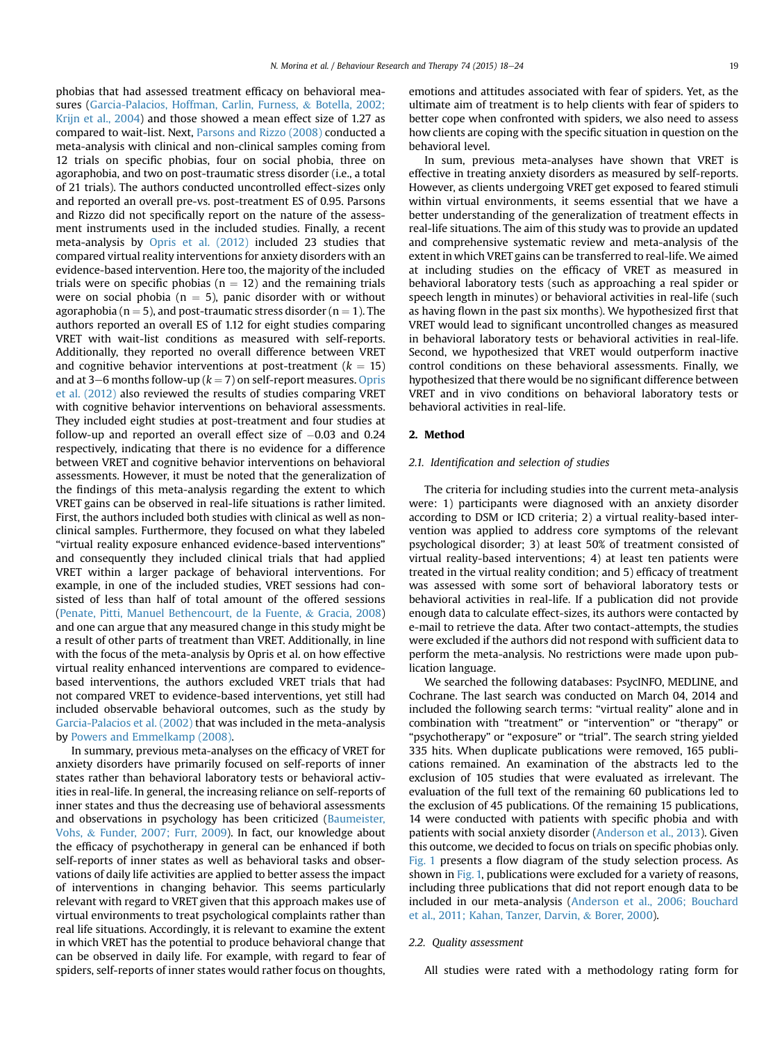phobias that had assessed treatment efficacy on behavioral measures (Garcia-Palacios, Hoffman, Carlin, Furness, & Botella, 2002; Krijn et al., 2004) and those showed a mean effect size of 1.27 as compared to wait-list. Next, Parsons and Rizzo (2008) conducted a meta-analysis with clinical and non-clinical samples coming from 12 trials on specific phobias, four on social phobia, three on agoraphobia, and two on post-traumatic stress disorder (i.e., a total of 21 trials). The authors conducted uncontrolled effect-sizes only and reported an overall pre-vs. post-treatment ES of 0.95. Parsons and Rizzo did not specifically report on the nature of the assessment instruments used in the included studies. Finally, a recent meta-analysis by Opris et al. (2012) included 23 studies that compared virtual reality interventions for anxiety disorders with an evidence-based intervention. Here too, the majority of the included trials were on specific phobias ( $n = 12$ ) and the remaining trials were on social phobia ( $n = 5$ ), panic disorder with or without agoraphobia ( $n = 5$ ), and post-traumatic stress disorder ( $n = 1$ ). The authors reported an overall ES of 1.12 for eight studies comparing VRET with wait-list conditions as measured with self-reports. Additionally, they reported no overall difference between VRET and cognitive behavior interventions at post-treatment ( $k = 15$ ) and at 3–6 months follow-up ( $k = 7$ ) on self-report measures. Opris et al. (2012) also reviewed the results of studies comparing VRET with cognitive behavior interventions on behavioral assessments. They included eight studies at post-treatment and four studies at follow-up and reported an overall effect size of  $-0.03$  and 0.24 respectively, indicating that there is no evidence for a difference between VRET and cognitive behavior interventions on behavioral assessments. However, it must be noted that the generalization of the findings of this meta-analysis regarding the extent to which VRET gains can be observed in real-life situations is rather limited. First, the authors included both studies with clinical as well as nonclinical samples. Furthermore, they focused on what they labeled "virtual reality exposure enhanced evidence-based interventions" and consequently they included clinical trials that had applied VRET within a larger package of behavioral interventions. For example, in one of the included studies, VRET sessions had consisted of less than half of total amount of the offered sessions (Penate, Pitti, Manuel Bethencourt, de la Fuente, & Gracia, 2008) and one can argue that any measured change in this study might be a result of other parts of treatment than VRET. Additionally, in line with the focus of the meta-analysis by Opris et al. on how effective virtual reality enhanced interventions are compared to evidencebased interventions, the authors excluded VRET trials that had not compared VRET to evidence-based interventions, yet still had included observable behavioral outcomes, such as the study by Garcia-Palacios et al. (2002) that was included in the meta-analysis by Powers and Emmelkamp (2008).

In summary, previous meta-analyses on the efficacy of VRET for anxiety disorders have primarily focused on self-reports of inner states rather than behavioral laboratory tests or behavioral activities in real-life. In general, the increasing reliance on self-reports of inner states and thus the decreasing use of behavioral assessments and observations in psychology has been criticized (Baumeister, Vohs, & Funder, 2007; Furr, 2009). In fact, our knowledge about the efficacy of psychotherapy in general can be enhanced if both self-reports of inner states as well as behavioral tasks and observations of daily life activities are applied to better assess the impact of interventions in changing behavior. This seems particularly relevant with regard to VRET given that this approach makes use of virtual environments to treat psychological complaints rather than real life situations. Accordingly, it is relevant to examine the extent in which VRET has the potential to produce behavioral change that can be observed in daily life. For example, with regard to fear of spiders, self-reports of inner states would rather focus on thoughts,

emotions and attitudes associated with fear of spiders. Yet, as the ultimate aim of treatment is to help clients with fear of spiders to better cope when confronted with spiders, we also need to assess how clients are coping with the specific situation in question on the behavioral level.

In sum, previous meta-analyses have shown that VRET is effective in treating anxiety disorders as measured by self-reports. However, as clients undergoing VRET get exposed to feared stimuli within virtual environments, it seems essential that we have a better understanding of the generalization of treatment effects in real-life situations. The aim of this study was to provide an updated and comprehensive systematic review and meta-analysis of the extent in which VRET gains can be transferred to real-life. We aimed at including studies on the efficacy of VRET as measured in behavioral laboratory tests (such as approaching a real spider or speech length in minutes) or behavioral activities in real-life (such as having flown in the past six months). We hypothesized first that VRET would lead to significant uncontrolled changes as measured in behavioral laboratory tests or behavioral activities in real-life. Second, we hypothesized that VRET would outperform inactive control conditions on these behavioral assessments. Finally, we hypothesized that there would be no significant difference between VRET and in vivo conditions on behavioral laboratory tests or behavioral activities in real-life.

# 2. Method

### 2.1. Identification and selection of studies

The criteria for including studies into the current meta-analysis were: 1) participants were diagnosed with an anxiety disorder according to DSM or ICD criteria; 2) a virtual reality-based intervention was applied to address core symptoms of the relevant psychological disorder; 3) at least 50% of treatment consisted of virtual reality-based interventions; 4) at least ten patients were treated in the virtual reality condition; and 5) efficacy of treatment was assessed with some sort of behavioral laboratory tests or behavioral activities in real-life. If a publication did not provide enough data to calculate effect-sizes, its authors were contacted by e-mail to retrieve the data. After two contact-attempts, the studies were excluded if the authors did not respond with sufficient data to perform the meta-analysis. No restrictions were made upon publication language.

We searched the following databases: PsycINFO, MEDLINE, and Cochrane. The last search was conducted on March 04, 2014 and included the following search terms: "virtual reality" alone and in combination with "treatment" or "intervention" or "therapy" or "psychotherapy" or "exposure" or "trial". The search string yielded 335 hits. When duplicate publications were removed, 165 publications remained. An examination of the abstracts led to the exclusion of 105 studies that were evaluated as irrelevant. The evaluation of the full text of the remaining 60 publications led to the exclusion of 45 publications. Of the remaining 15 publications, 14 were conducted with patients with specific phobia and with patients with social anxiety disorder (Anderson et al., 2013). Given this outcome, we decided to focus on trials on specific phobias only. Fig. 1 presents a flow diagram of the study selection process. As shown in Fig. 1, publications were excluded for a variety of reasons, including three publications that did not report enough data to be included in our meta-analysis (Anderson et al., 2006; Bouchard et al., 2011; Kahan, Tanzer, Darvin, & Borer, 2000).

### 2.2. Quality assessment

All studies were rated with a methodology rating form for